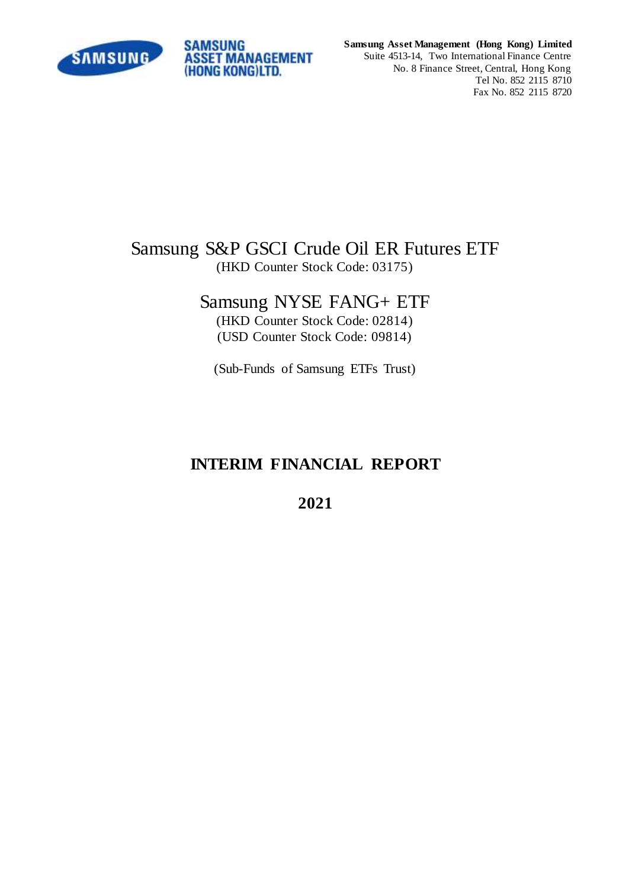

**Samsung Asset Management (Hong Kong) Limited** Suite 4513-14, Two International Finance Centre No. 8 Finance Street, Central, Hong Kong Tel No. 852 2115 8710

Fax No. 852 2115 8720

# Samsung S&P GSCI Crude Oil ER Futures ETF (HKD Counter Stock Code: 03175)

# Samsung NYSE FANG+ ETF

(HKD Counter Stock Code: 02814) (USD Counter Stock Code: 09814)

(Sub-Funds of Samsung ETFs Trust)

# **INTERIM FINANCIAL REPORT**

**2021**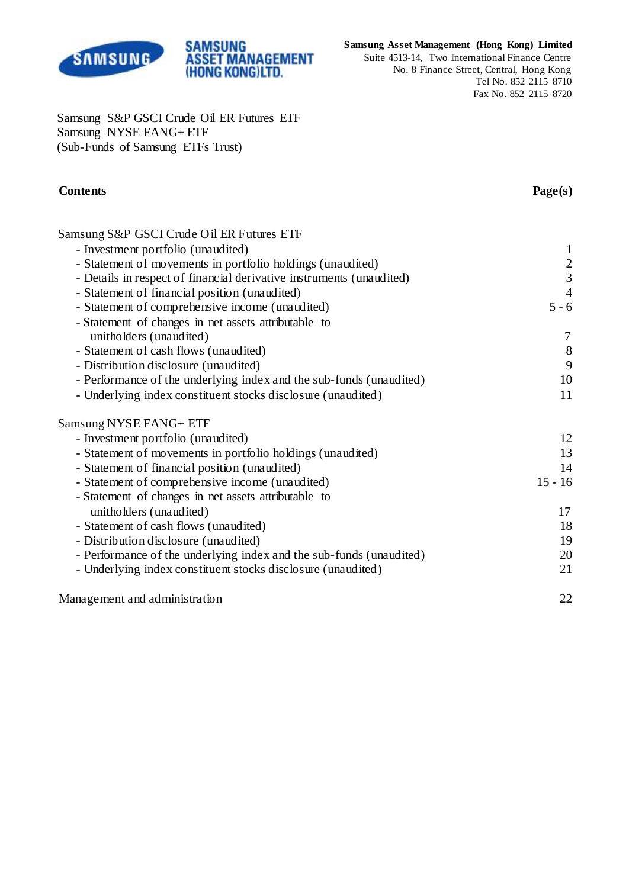

## **Samsung Asset Management (Hong Kong) Limited**

Suite 4513-14, Two International Finance Centre No. 8 Finance Street, Central, Hong Kong Tel No. 852 2115 8710 Fax No. 852 2115 8720

Samsung S&P GSCI Crude Oil ER Futures ETF Samsung NYSE FANG+ ETF (Sub-Funds of Samsung ETFs Trust)

**SAMSUNG** 

**ASSET MANAGEMENT** (HONG KONG)LTD.

## **Contents Page(s)**

| Samsung S&P GSCI Crude Oil ER Futures ETF                            |                  |
|----------------------------------------------------------------------|------------------|
| - Investment portfolio (unaudited)                                   | $\mathbf{1}$     |
| - Statement of movements in portfolio holdings (unaudited)           |                  |
| - Details in respect of financial derivative instruments (unaudited) | $\frac{2}{3}$    |
| - Statement of financial position (unaudited)                        | $\overline{4}$   |
| - Statement of comprehensive income (unaudited)                      | $5 - 6$          |
| - Statement of changes in net assets attributable to                 |                  |
| unitholders (unaudited)                                              | $\tau$           |
| - Statement of cash flows (unaudited)                                | $\boldsymbol{8}$ |
| - Distribution disclosure (unaudited)                                | 9                |
| - Performance of the underlying index and the sub-funds (unaudited)  | 10               |
| - Underlying index constituent stocks disclosure (unaudited)         | 11               |
| Samsung NYSE FANG+ ETF                                               |                  |
| - Investment portfolio (unaudited)                                   | 12               |
| - Statement of movements in portfolio holdings (unaudited)           | 13               |
| - Statement of financial position (unaudited)                        | 14               |
| - Statement of comprehensive income (unaudited)                      | $15 - 16$        |
| - Statement of changes in net assets attributable to                 |                  |
| unitholders (unaudited)                                              | 17               |
| - Statement of cash flows (unaudited)                                | 18               |
| - Distribution disclosure (unaudited)                                | 19               |
| - Performance of the underlying index and the sub-funds (unaudited)  | 20               |
| - Underlying index constituent stocks disclosure (unaudited)         | 21               |
| Management and administration                                        | 22               |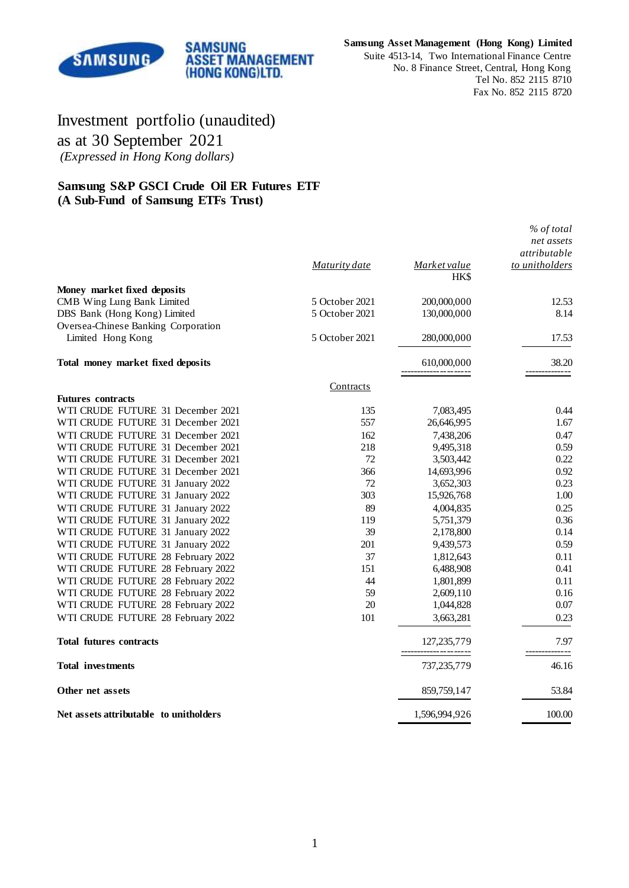

**Samsung Asset Management (Hong Kong) Limited**

Suite 4513-14, Two International Finance Centre No. 8 Finance Street, Central, Hong Kong Tel No. 852 2115 8710 Fax No. 852 2115 8720

# Investment portfolio (unaudited) as at 30 September 2021 *(Expressed in Hong Kong dollars)*

### **Samsung S&P GSCI Crude Oil ER Futures ETF (A Sub-Fund of Samsung ETFs Trust)**

|                                        | Maturity date  | Market value<br><b>HKS</b>     | % of total<br>net assets<br>attributable<br>to unitholders |
|----------------------------------------|----------------|--------------------------------|------------------------------------------------------------|
| Money market fixed deposits            |                |                                |                                                            |
| CMB Wing Lung Bank Limited             | 5 October 2021 | 200,000,000                    | 12.53                                                      |
| DBS Bank (Hong Kong) Limited           | 5 October 2021 | 130,000,000                    | 8.14                                                       |
| Oversea-Chinese Banking Corporation    |                |                                |                                                            |
| Limited Hong Kong                      | 5 October 2021 | 280,000,000                    | 17.53                                                      |
| Total money market fixed deposits      |                | 610,000,000                    | 38.20                                                      |
|                                        | Contracts      |                                |                                                            |
| <b>Futures contracts</b>               |                |                                |                                                            |
| WTI CRUDE FUTURE 31 December 2021      | 135            | 7,083,495                      | 0.44                                                       |
| WTI CRUDE FUTURE 31 December 2021      | 557            | 26,646,995                     | 1.67                                                       |
| WTI CRUDE FUTURE 31 December 2021      | 162            | 7,438,206                      | 0.47                                                       |
| WTI CRUDE FUTURE 31 December 2021      | 218            | 9,495,318                      | 0.59                                                       |
| WTI CRUDE FUTURE 31 December 2021      | 72             | 3,503,442                      | 0.22                                                       |
| WTI CRUDE FUTURE 31 December 2021      | 366            | 14,693,996                     | 0.92                                                       |
| WTI CRUDE FUTURE 31 January 2022       | 72             | 3,652,303                      | 0.23                                                       |
| WTI CRUDE FUTURE 31 January 2022       | 303            | 15,926,768                     | 1.00                                                       |
| WTI CRUDE FUTURE 31 January 2022       | 89             | 4,004,835                      | 0.25                                                       |
| WTI CRUDE FUTURE 31 January 2022       | 119            | 5,751,379                      | 0.36                                                       |
| WTI CRUDE FUTURE 31 January 2022       | 39             | 2,178,800                      | 0.14                                                       |
| WTI CRUDE FUTURE 31 January 2022       | 201            | 9,439,573                      | 0.59                                                       |
| WTI CRUDE FUTURE 28 February 2022      | 37             | 1,812,643                      | 0.11                                                       |
| WTI CRUDE FUTURE 28 February 2022      | 151            | 6,488,908                      | 0.41                                                       |
| WTI CRUDE FUTURE 28 February 2022      | 44             | 1,801,899                      | 0.11                                                       |
| WTI CRUDE FUTURE 28 February 2022      | 59             | 2,609,110                      | 0.16                                                       |
| WTI CRUDE FUTURE 28 February 2022      | 20             | 1,044,828                      | 0.07                                                       |
| WTI CRUDE FUTURE 28 February 2022      | 101            | 3,663,281                      | 0.23                                                       |
| <b>Total futures contracts</b>         |                | 127,235,779<br>--------------- | 7.97                                                       |
| <b>Total investments</b>               |                | 737,235,779                    | 46.16                                                      |
| Other net assets                       |                | 859,759,147                    | 53.84                                                      |
| Net assets attributable to unitholders |                | 1,596,994,926                  | 100.00                                                     |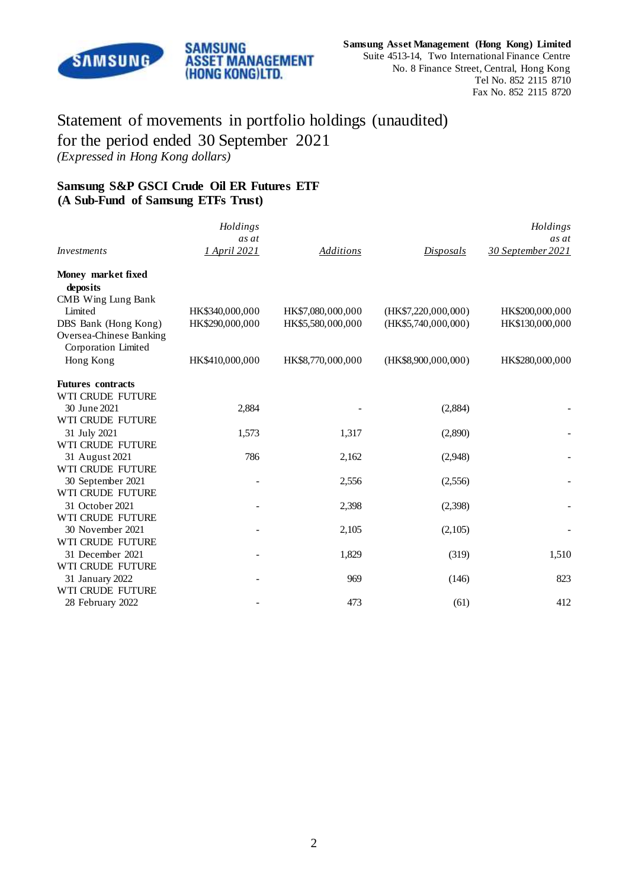

# Statement of movements in portfolio holdings (unaudited) for the period ended 30 September 2021 *(Expressed in Hong Kong dollars)*

**ASSET MANAGEMENT** (HONG KONG)LTD.

**SAMSUNG** 

## **Samsung S&P GSCI Crude Oil ER Futures ETF (A Sub-Fund of Samsung ETFs Trust)**

|                                                                        | Holdings              |                   |                     | Holdings                   |
|------------------------------------------------------------------------|-----------------------|-------------------|---------------------|----------------------------|
| <i>Investments</i>                                                     | as at<br>1 April 2021 | <b>Additions</b>  | Disposals           | as at<br>30 September 2021 |
|                                                                        |                       |                   |                     |                            |
| Money market fixed<br>deposits                                         |                       |                   |                     |                            |
| CMB Wing Lung Bank<br>Limited                                          | HK\$340,000,000       | HK\$7,080,000,000 | (HK\$7,220,000,000) | HK\$200,000,000            |
| DBS Bank (Hong Kong)<br>Oversea-Chinese Banking<br>Corporation Limited | HK\$290,000,000       | HK\$5,580,000,000 | (HK\$5,740,000,000) | HK\$130,000,000            |
| Hong Kong                                                              | HK\$410,000,000       | HK\$8,770,000,000 | (HK\$8,900,000,000) | HK\$280,000,000            |
| <b>Futures contracts</b>                                               |                       |                   |                     |                            |
| WTI CRUDE FUTURE                                                       |                       |                   |                     |                            |
| 30 June 2021                                                           | 2,884                 |                   | (2,884)             |                            |
| WTI CRUDE FUTURE                                                       |                       |                   |                     |                            |
| 31 July 2021                                                           | 1,573                 | 1,317             | (2,890)             |                            |
| WTI CRUDE FUTURE                                                       |                       |                   |                     |                            |
| 31 August 2021                                                         | 786                   | 2,162             | (2,948)             |                            |
| WTI CRUDE FUTURE                                                       |                       |                   |                     |                            |
| 30 September 2021                                                      |                       | 2,556             | (2,556)             |                            |
| WTI CRUDE FUTURE                                                       |                       |                   |                     |                            |
| 31 October 2021<br>WTI CRUDE FUTURE                                    |                       | 2,398             | (2,398)             |                            |
| 30 November 2021                                                       |                       | 2,105             | (2,105)             |                            |
| WTI CRUDE FUTURE                                                       |                       |                   |                     |                            |
| 31 December 2021                                                       |                       | 1,829             | (319)               | 1,510                      |
| WTI CRUDE FUTURE                                                       |                       |                   |                     |                            |
| 31 January 2022                                                        |                       | 969               | (146)               | 823                        |
| WTI CRUDE FUTURE                                                       |                       |                   |                     |                            |
| 28 February 2022                                                       |                       | 473               | (61)                | 412                        |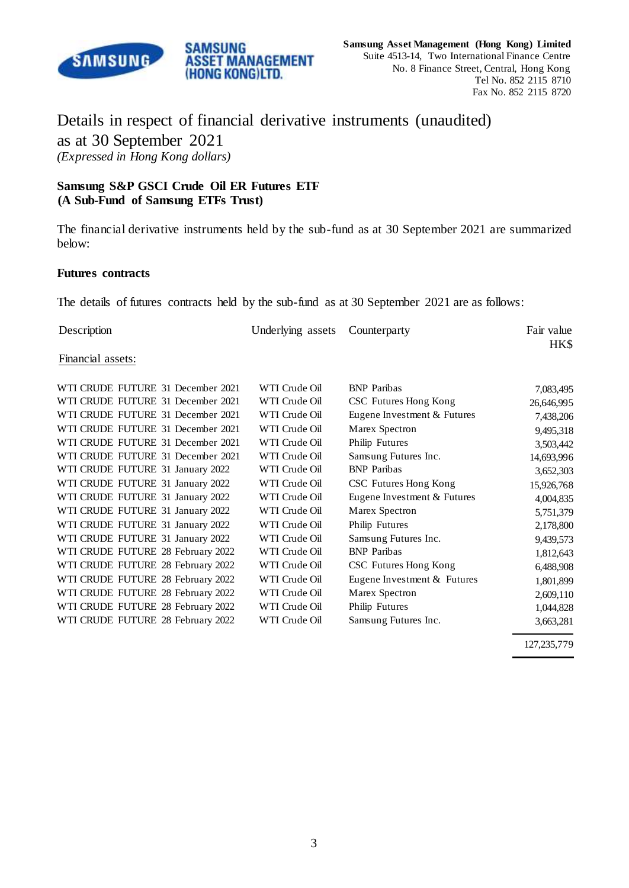

# Details in respect of financial derivative instruments (unaudited) as at 30 September 2021 *(Expressed in Hong Kong dollars)*

## **Samsung S&P GSCI Crude Oil ER Futures ETF (A Sub-Fund of Samsung ETFs Trust)**

SAMSUNG

**ASSET MANAGEMENT** (HONG KONG)LTD.

The financial derivative instruments held by the sub-fund as at 30 September 2021 are summarized below:

#### **Futures contracts**

The details of futures contracts held by the sub-fund as at 30 September 2021 are as follows:

| Description | Underlying assets Counterparty | Fair value |
|-------------|--------------------------------|------------|
|             |                                | HK\$       |

#### Financial assets:

| WTI CRUDE FUTURE 31 December 2021 | WTI Crude Oil | <b>BNP</b> Paribas          | 7,083,495  |
|-----------------------------------|---------------|-----------------------------|------------|
| WTI CRUDE FUTURE 31 December 2021 | WTI Crude Oil | CSC Futures Hong Kong       | 26,646,995 |
| WTI CRUDE FUTURE 31 December 2021 | WTI Crude Oil | Eugene Investment & Futures | 7,438,206  |
| WTI CRUDE FUTURE 31 December 2021 | WTI Crude Oil | Marex Spectron              | 9,495,318  |
| WTI CRUDE FUTURE 31 December 2021 | WTI Crude Oil | Philip Futures              | 3,503,442  |
| WTI CRUDE FUTURE 31 December 2021 | WTI Crude Oil | Samsung Futures Inc.        | 14,693,996 |
| WTI CRUDE FUTURE 31 January 2022  | WTI Crude Oil | <b>BNP</b> Paribas          | 3,652,303  |
| WTI CRUDE FUTURE 31 January 2022  | WTI Crude Oil | CSC Futures Hong Kong       | 15,926,768 |
| WTI CRUDE FUTURE 31 January 2022  | WTI Crude Oil | Eugene Investment & Futures | 4,004,835  |
| WTI CRUDE FUTURE 31 January 2022  | WTI Crude Oil | Marex Spectron              | 5,751,379  |
| WTI CRUDE FUTURE 31 January 2022  | WTI Crude Oil | Philip Futures              | 2,178,800  |
| WTI CRUDE FUTURE 31 January 2022  | WTI Crude Oil | Samsung Futures Inc.        | 9,439,573  |
| WTI CRUDE FUTURE 28 February 2022 | WTI Crude Oil | <b>BNP</b> Paribas          | 1,812,643  |
| WTI CRUDE FUTURE 28 February 2022 | WTI Crude Oil | CSC Futures Hong Kong       | 6,488,908  |
| WTI CRUDE FUTURE 28 February 2022 | WTI Crude Oil | Eugene Investment & Futures | 1,801,899  |
| WTI CRUDE FUTURE 28 February 2022 | WTI Crude Oil | Marex Spectron              | 2,609,110  |
| WTI CRUDE FUTURE 28 February 2022 | WTI Crude Oil | Philip Futures              | 1,044,828  |
| WTI CRUDE FUTURE 28 February 2022 | WTI Crude Oil | Samsung Futures Inc.        | 3,663,281  |
|                                   |               |                             |            |

127,235,779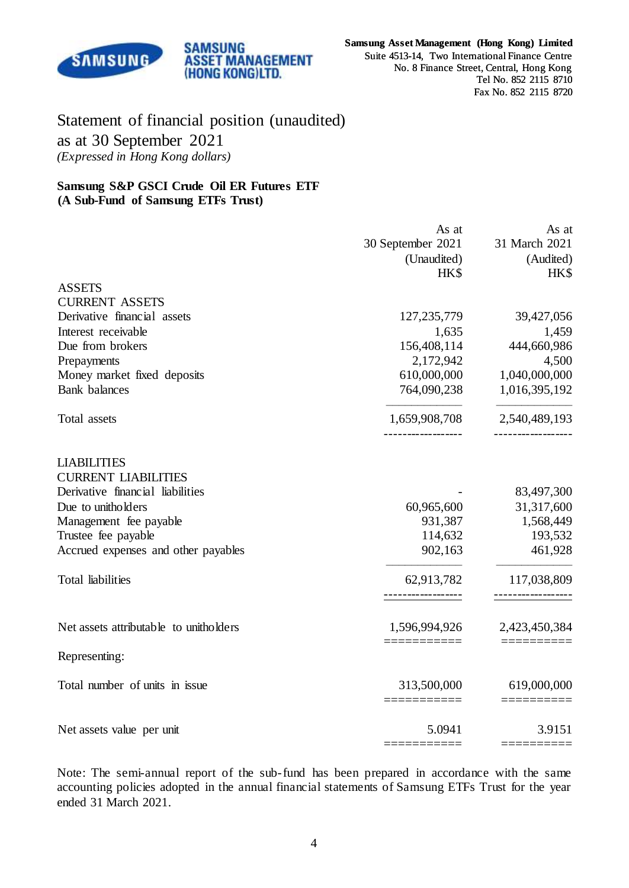

# Statement of financial position (unaudited) as at 30 September 2021 *(Expressed in Hong Kong dollars)*

**SAMSUNG** 

**ASSET MANAGEMENT** (HONG KONG)LTD.

#### **Samsung S&P GSCI Crude Oil ER Futures ETF (A Sub-Fund of Samsung ETFs Trust)**

| 31 March 2021<br>(Audited)      |
|---------------------------------|
|                                 |
|                                 |
| HK\$                            |
|                                 |
|                                 |
| 39,427,056                      |
| 1,459                           |
| 444,660,986                     |
| 4,500                           |
| 1,040,000,000                   |
| 1,016,395,192                   |
| 2,540,489,193<br>-------------- |
|                                 |
|                                 |
| 83,497,300                      |
| 31,317,600                      |
| 1,568,449                       |
| 193,532                         |
| 461,928                         |
| 117,038,809                     |
|                                 |
| 2,423,450,384                   |
|                                 |
| 619,000,000                     |
| 3.9151                          |
|                                 |

Note: The semi-annual report of the sub-fund has been prepared in accordance with the same accounting policies adopted in the annual financial statements of Samsung ETFs Trust for the year ended 31 March 2021.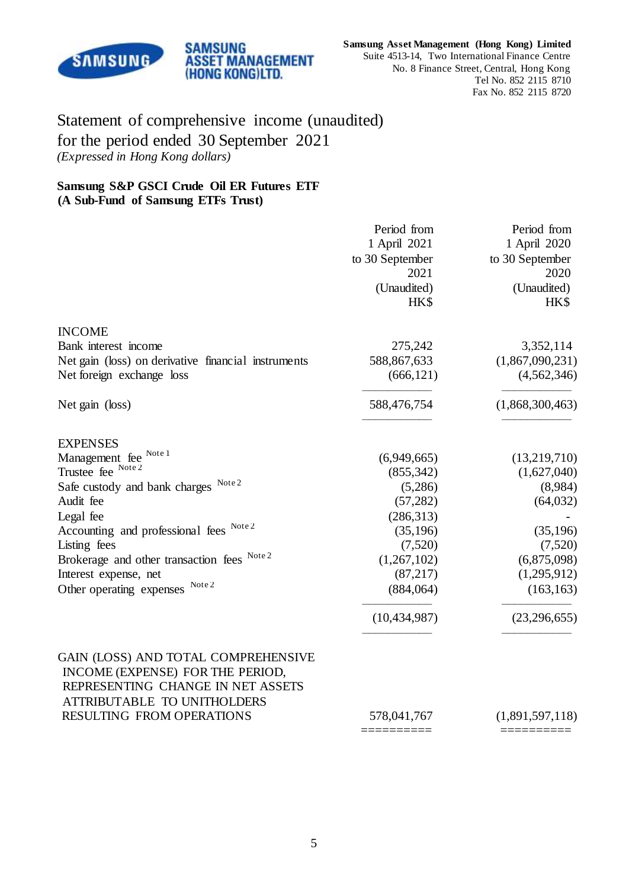

# Statement of comprehensive income (unaudited) for the period ended 30 September 2021 *(Expressed in Hong Kong dollars)*

**SAMSUNG** 

**ASSET MANAGEMENT** (HONG KONG)LTD.

### **Samsung S&P GSCI Crude Oil ER Futures ETF (A Sub-Fund of Samsung ETFs Trust)**

|                                                                                                                                             | Period from<br>1 April 2021<br>to 30 September<br>2021 | Period from<br>1 April 2020<br>to 30 September<br>2020 |
|---------------------------------------------------------------------------------------------------------------------------------------------|--------------------------------------------------------|--------------------------------------------------------|
|                                                                                                                                             | (Unaudited)<br>HK\$                                    | (Unaudited)<br>HK\$                                    |
| <b>INCOME</b>                                                                                                                               |                                                        |                                                        |
| Bank interest income                                                                                                                        | 275,242                                                | 3,352,114                                              |
| Net gain (loss) on derivative financial instruments                                                                                         | 588,867,633                                            | (1,867,090,231)                                        |
| Net foreign exchange loss                                                                                                                   | (666, 121)                                             | (4, 562, 346)                                          |
| Net gain (loss)                                                                                                                             | 588,476,754                                            | (1,868,300,463)                                        |
| <b>EXPENSES</b>                                                                                                                             |                                                        |                                                        |
| Management fee Note 1                                                                                                                       | (6,949,665)                                            | (13,219,710)                                           |
| Trustee fee Note 2                                                                                                                          | (855, 342)                                             | (1,627,040)                                            |
| Safe custody and bank charges Note 2                                                                                                        | (5,286)                                                | (8,984)                                                |
| Audit fee                                                                                                                                   | (57, 282)                                              | (64, 032)                                              |
| Legal fee                                                                                                                                   | (286,313)                                              |                                                        |
| Accounting and professional fees Note 2                                                                                                     | (35, 196)                                              | (35,196)                                               |
| Listing fees                                                                                                                                | (7,520)                                                | (7,520)                                                |
| Brokerage and other transaction fees Note 2                                                                                                 | (1,267,102)                                            | (6,875,098)                                            |
| Interest expense, net                                                                                                                       | (87, 217)                                              | (1,295,912)                                            |
| Other operating expenses Note 2                                                                                                             | (884,064)                                              | (163, 163)                                             |
|                                                                                                                                             | (10, 434, 987)                                         | (23, 296, 655)                                         |
| GAIN (LOSS) AND TOTAL COMPREHENSIVE<br>INCOME (EXPENSE) FOR THE PERIOD,<br>REPRESENTING CHANGE IN NET ASSETS<br>ATTRIBUTABLE TO UNITHOLDERS |                                                        |                                                        |
| RESULTING FROM OPERATIONS                                                                                                                   | 578,041,767                                            | (1,891,597,118)                                        |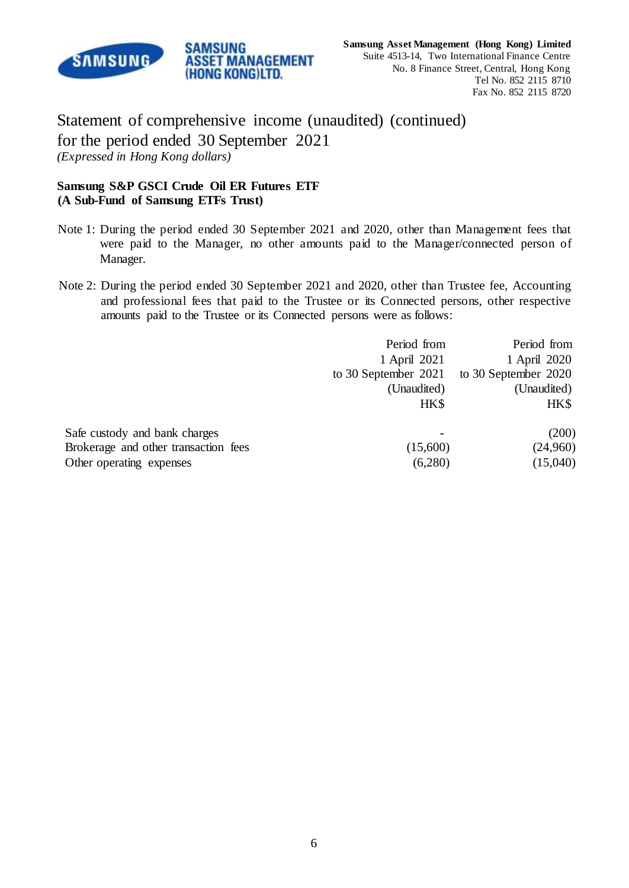

Statement of comprehensive income (unaudited) (continued) for the period ended 30 September 2021 *(Expressed in Hong Kong dollars)*

**ASSET MANAGEMENT** (HONG KONG)LTD.

## **Samsung S&P GSCI Crude Oil ER Futures ETF (A Sub-Fund of Samsung ETFs Trust)**

SAMSUNG

- Note 1: During the period ended 30 September 2021 and 2020, other than Management fees that were paid to the Manager, no other amounts paid to the Manager/connected person of Manager.
- Note 2: During the period ended 30 September 2021 and 2020, other than Trustee fee, Accounting and professional fees that paid to the Trustee or its Connected persons, other respective amounts paid to the Trustee or its Connected persons were as follows:

|                                      | Period from          | Period from          |
|--------------------------------------|----------------------|----------------------|
|                                      | 1 April 2021         | 1 April 2020         |
|                                      | to 30 September 2021 | to 30 September 2020 |
|                                      | (Unaudited)          | (Unaudited)          |
|                                      | HK\$                 | HK\$                 |
| Safe custody and bank charges        |                      | (200)                |
| Brokerage and other transaction fees | (15,600)             | (24,960)             |
| Other operating expenses             | (6,280)              | (15,040)             |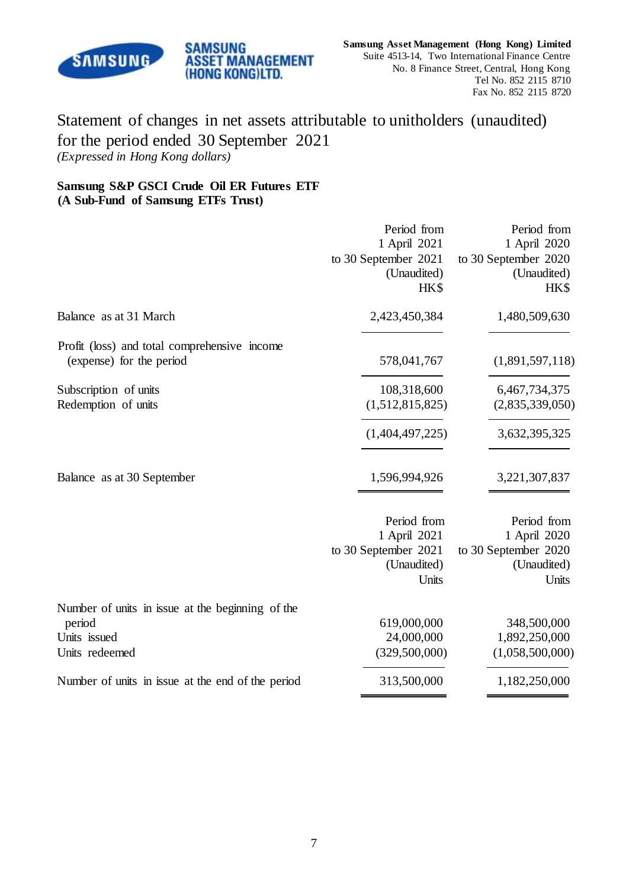

# Statement of changes in net assets attributable to unitholders (unaudited) for the period ended 30 September 2021 *(Expressed in Hong Kong dollars)*

## **Samsung S&P GSCI Crude Oil ER Futures ETF (A Sub-Fund of Samsung ETFs Trust)**

**SAMSUNG** 

**ASSET MANAGEMENT** (HONG KONG)LTD.

|                                                   | Period from<br>1 April 2021<br>to 30 September 2021<br>(Unaudited)<br>HK\$ | Period from<br>1 April 2020<br>to 30 September 2020<br>(Unaudited)<br>HK\$ |
|---------------------------------------------------|----------------------------------------------------------------------------|----------------------------------------------------------------------------|
| Balance as at 31 March                            | 2,423,450,384                                                              | 1,480,509,630                                                              |
| Profit (loss) and total comprehensive income      |                                                                            |                                                                            |
| (expense) for the period                          | 578,041,767                                                                | (1,891,597,118)                                                            |
| Subscription of units                             | 108,318,600                                                                | 6,467,734,375                                                              |
| Redemption of units                               | (1,512,815,825)                                                            | (2,835,339,050)                                                            |
|                                                   | (1,404,497,225)                                                            | 3,632,395,325                                                              |
| Balance as at 30 September                        | 1,596,994,926                                                              | 3,221,307,837                                                              |
|                                                   | Period from                                                                | Period from                                                                |
|                                                   | 1 April 2021<br>to 30 September 2021                                       | 1 April 2020<br>to 30 September 2020                                       |
|                                                   | (Unaudited)                                                                | (Unaudited)                                                                |
|                                                   | Units                                                                      | Units                                                                      |
| Number of units in issue at the beginning of the  |                                                                            |                                                                            |
| period                                            | 619,000,000                                                                | 348,500,000                                                                |
| Units issued                                      | 24,000,000                                                                 | 1,892,250,000                                                              |
| Units redeemed                                    | (329,500,000)                                                              | (1,058,500,000)                                                            |
| Number of units in issue at the end of the period | 313,500,000                                                                | 1,182,250,000                                                              |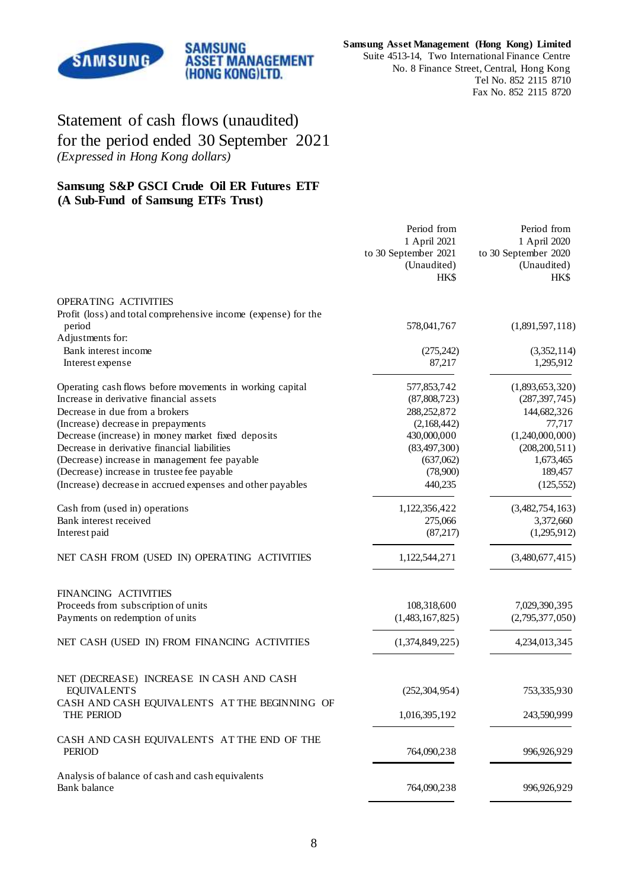

**Samsung Asset Management (Hong Kong) Limited** Suite 4513-14, Two International Finance Centre No. 8 Finance Street, Central, Hong Kong Tel No. 852 2115 8710 Fax No. 852 2115 8720

# Statement of cash flows (unaudited) for the period ended 30 September 2021 *(Expressed in Hong Kong dollars)*

## **Samsung S&P GSCI Crude Oil ER Futures ETF (A Sub-Fund of Samsung ETFs Trust)**

|                                                                          | Period from<br>1 April 2021<br>to 30 September 2021<br>(Unaudited)<br>HK\$ | Period from<br>1 April 2020<br>to 30 September 2020<br>(Unaudited)<br>HK\$ |
|--------------------------------------------------------------------------|----------------------------------------------------------------------------|----------------------------------------------------------------------------|
| OPERATING ACTIVITIES                                                     |                                                                            |                                                                            |
| Profit (loss) and total comprehensive income (expense) for the<br>period | 578,041,767                                                                | (1,891,597,118)                                                            |
| Adjustments for:                                                         |                                                                            |                                                                            |
| Bank interest income<br>Interest expense                                 | (275, 242)<br>87,217                                                       | (3,352,114)<br>1,295,912                                                   |
| Operating cash flows before movements in working capital                 | 577,853,742                                                                | (1,893,653,320)                                                            |
| Increase in derivative financial assets                                  | (87,808,723)                                                               | (287, 397, 745)                                                            |
| Decrease in due from a brokers                                           | 288,252,872                                                                | 144,682,326                                                                |
| (Increase) decrease in prepayments                                       | (2,168,442)                                                                | 77,717                                                                     |
| Decrease (increase) in money market fixed deposits                       | 430,000,000                                                                | (1,240,000,000)                                                            |
| Decrease in derivative financial liabilities                             | (83, 497, 300)                                                             | (208, 200, 511)                                                            |
| (Decrease) increase in management fee payable                            | (637,062)                                                                  | 1,673,465                                                                  |
| (Decrease) increase in trustee fee payable                               | (78,900)                                                                   | 189,457                                                                    |
| (Increase) decrease in accrued expenses and other payables               | 440,235                                                                    | (125, 552)                                                                 |
| Cash from (used in) operations                                           | 1,122,356,422                                                              | (3,482,754,163)                                                            |
| Bank interest received                                                   | 275,066                                                                    | 3,372,660                                                                  |
| Interest paid                                                            | (87, 217)                                                                  | (1,295,912)                                                                |
| NET CASH FROM (USED IN) OPERATING ACTIVITIES                             | 1,122,544,271                                                              | (3,480,677,415)                                                            |
| FINANCING ACTIVITIES                                                     |                                                                            |                                                                            |
| Proceeds from subscription of units                                      | 108,318,600                                                                | 7,029,390,395                                                              |
| Payments on redemption of units                                          | (1,483,167,825)                                                            | (2,795,377,050)                                                            |
| NET CASH (USED IN) FROM FINANCING ACTIVITIES                             | (1,374,849,225)                                                            | 4,234,013,345                                                              |
| NET (DECREASE) INCREASE IN CASH AND CASH                                 |                                                                            |                                                                            |
| <b>EQUIVALENTS</b>                                                       | (252, 304, 954)                                                            | 753,335,930                                                                |
| CASH AND CASH EQUIVALENTS AT THE BEGINNING OF<br>THE PERIOD              | 1,016,395,192                                                              | 243,590,999                                                                |
| CASH AND CASH EQUIVALENTS AT THE END OF THE<br><b>PERIOD</b>             | 764,090,238                                                                | 996,926,929                                                                |
| Analysis of balance of cash and cash equivalents<br>Bank balance         | 764,090,238                                                                | 996,926,929                                                                |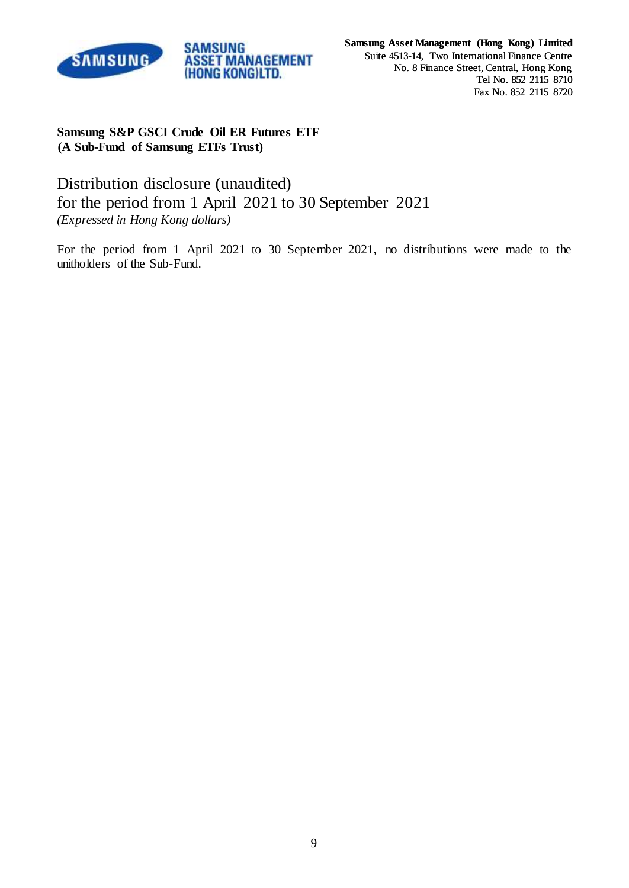

## **Samsung S&P GSCI Crude Oil ER Futures ETF (A Sub-Fund of Samsung ETFs Trust)**

Distribution disclosure (unaudited) for the period from 1 April 2021 to 30 September 2021 *(Expressed in Hong Kong dollars)*

For the period from 1 April 2021 to 30 September 2021, no distributions were made to the unitholders of the Sub-Fund.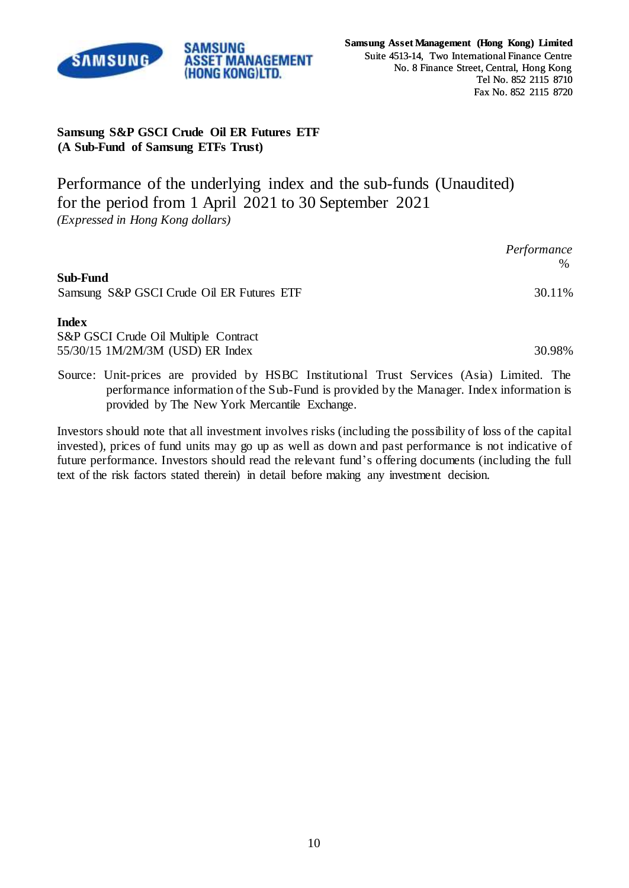

## **Samsung S&P GSCI Crude Oil ER Futures ETF (A Sub-Fund of Samsung ETFs Trust)**

**SAMSUNG** 

**ASSET MANAGEMENT** (HONG KONG)LTD.

Performance of the underlying index and the sub-funds (Unaudited) for the period from 1 April 2021 to 30 September 2021 *(Expressed in Hong Kong dollars)*

|                                                       | Performance<br>$\%$ |
|-------------------------------------------------------|---------------------|
| Sub-Fund<br>Samsung S&P GSCI Crude Oil ER Futures ETF | 30.11%              |
| <b>Index</b>                                          |                     |

S&P GSCI Crude Oil Multiple Contract 55/30/15 1M/2M/3M (USD) ER Index 30.98%

Source: Unit-prices are provided by HSBC Institutional Trust Services (Asia) Limited. The performance information of the Sub-Fund is provided by the Manager. Index information is provided by The New York Mercantile Exchange.

Investors should note that all investment involves risks (including the possibility of loss of the capital invested), prices of fund units may go up as well as down and past performance is not indicative of future performance. Investors should read the relevant fund's offering documents (including the full text of the risk factors stated therein) in detail before making any investment decision.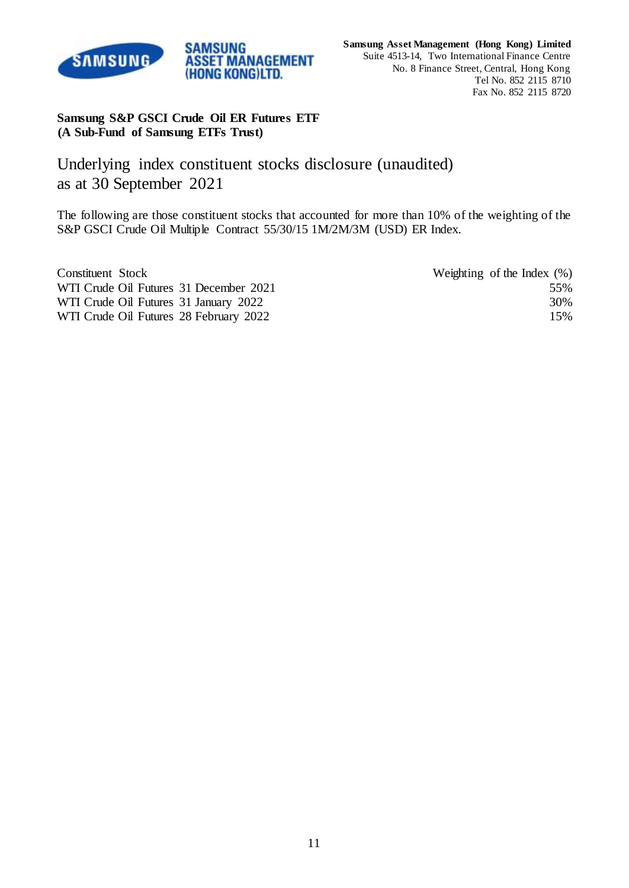

## **Samsung S&P GSCI Crude Oil ER Futures ETF (A Sub-Fund of Samsung ETFs Trust)**

SAMSUNG

(HONG KONG)LTD.

Underlying index constituent stocks disclosure (unaudited) as at 30 September 2021

The following are those constituent stocks that accounted for more than 10% of the weighting of the S&P GSCI Crude Oil Multiple Contract 55/30/15 1M/2M/3M (USD) ER Index.

| Constituent Stock                      | Weighting of the Index $(\%)$ |
|----------------------------------------|-------------------------------|
| WTI Crude Oil Futures 31 December 2021 | 55%                           |
| WTI Crude Oil Futures 31 January 2022  | 30%                           |
| WTI Crude Oil Futures 28 February 2022 | 15%                           |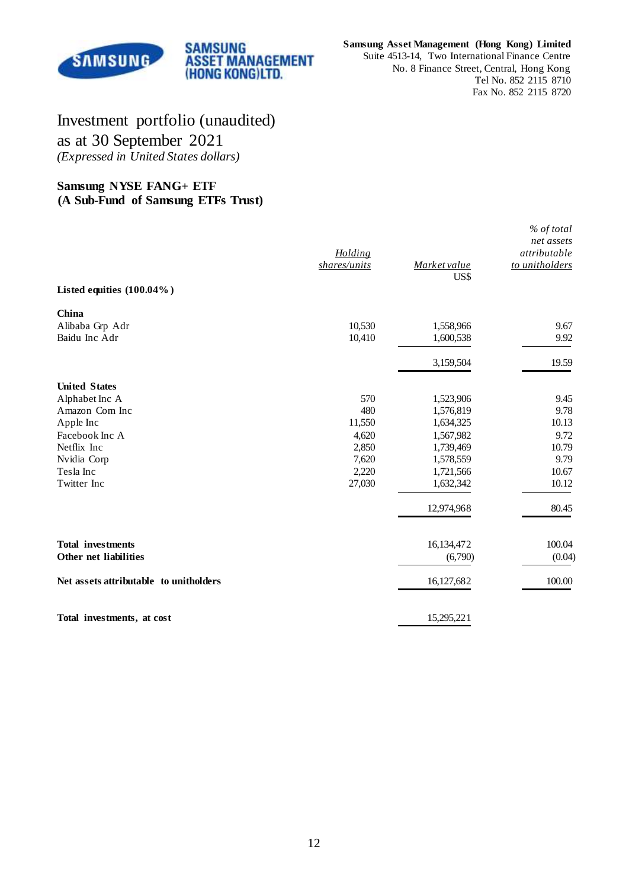

#### **Samsung Asset Management (Hong Kong) Limited**

Suite 4513-14, Two International Finance Centre No. 8 Finance Street, Central, Hong Kong Tel No. 852 2115 8710 Fax No. 852 2115 8720

# Investment portfolio (unaudited) as at 30 September 2021 *(Expressed in United States dollars)*

**SAMSUNG** 

**ASSET MANAGEMENT** (HONG KONG)LTD.

### **Samsung NYSE FANG+ ETF (A Sub-Fund of Samsung ETFs Trust)**

| Listed equities (100.04%)                         | Holding<br>shares/units | Market value<br>US\$   | % of total<br>net assets<br>attributable<br>to unitholders |
|---------------------------------------------------|-------------------------|------------------------|------------------------------------------------------------|
| China                                             |                         |                        |                                                            |
| Alibaba Grp Adr                                   | 10,530                  | 1,558,966              | 9.67                                                       |
| Baidu Inc Adr                                     | 10,410                  | 1,600,538              | 9.92                                                       |
|                                                   |                         | 3,159,504              | 19.59                                                      |
| <b>United States</b>                              |                         |                        |                                                            |
| Alphabet Inc A                                    | 570                     | 1,523,906              | 9.45                                                       |
| Amazon Com Inc                                    | 480                     | 1,576,819              | 9.78                                                       |
| Apple Inc                                         | 11,550                  | 1,634,325              | 10.13                                                      |
| Facebook Inc A                                    | 4,620                   | 1,567,982              | 9.72                                                       |
| Netflix Inc                                       | 2,850                   | 1,739,469              | 10.79                                                      |
| Nvidia Corp                                       | 7,620                   | 1,578,559              | 9.79                                                       |
| Tesla Inc<br>Twitter Inc                          | 2,220<br>27,030         | 1,721,566<br>1,632,342 | 10.67<br>10.12                                             |
|                                                   |                         | 12,974,968             | 80.45                                                      |
|                                                   |                         |                        |                                                            |
| <b>Total investments</b><br>Other net liabilities |                         | 16,134,472<br>(6,790)  | 100.04<br>(0.04)                                           |
| Net assets attributable to unitholders            |                         | 16,127,682             | 100.00                                                     |
| Total investments, at cost                        |                         | 15,295,221             |                                                            |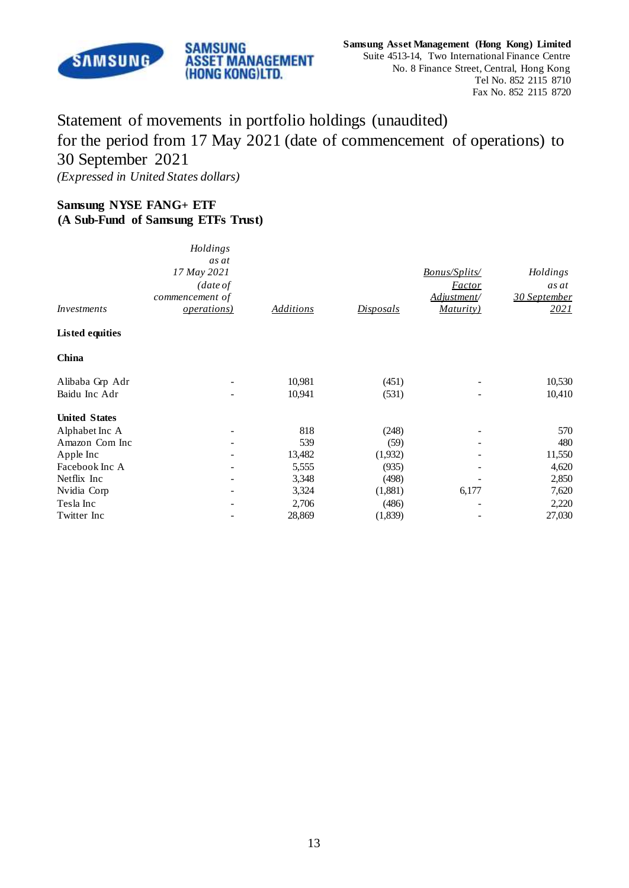

# Statement of movements in portfolio holdings (unaudited) for the period from 17 May 2021 (date of commencement of operations) to 30 September 2021 *(Expressed in United States dollars)*

## **Samsung NYSE FANG+ ETF (A Sub-Fund of Samsung ETFs Trust)**

| <i>Investments</i>     | Holdings<br>as at<br>17 May 2021<br>$\int$ date of<br>commencement of<br><i><u><b>operations</b></u></i> | <b>Additions</b> | <u>Disposals</u> | <b>Bonus/Splits/</b><br><b>Factor</b><br>Adjustment/<br><u>Maturity)</u> | Holdings<br>as at<br>30 September<br><u>2021</u> |
|------------------------|----------------------------------------------------------------------------------------------------------|------------------|------------------|--------------------------------------------------------------------------|--------------------------------------------------|
| <b>Listed equities</b> |                                                                                                          |                  |                  |                                                                          |                                                  |
| China                  |                                                                                                          |                  |                  |                                                                          |                                                  |
| Alibaba Grp Adr        |                                                                                                          | 10,981           | (451)            |                                                                          | 10,530                                           |
| Baidu Inc Adr          |                                                                                                          | 10,941           | (531)            |                                                                          | 10,410                                           |
| <b>United States</b>   |                                                                                                          |                  |                  |                                                                          |                                                  |
| Alphabet Inc A         | $\overline{\phantom{a}}$                                                                                 | 818              | (248)            |                                                                          | 570                                              |
| Amazon Com Inc         |                                                                                                          | 539              | (59)             |                                                                          | 480                                              |
| Apple Inc              |                                                                                                          | 13,482           | (1,932)          |                                                                          | 11,550                                           |
| Facebook Inc A         |                                                                                                          | 5,555            | (935)            |                                                                          | 4,620                                            |
| Netflix Inc            | $\qquad \qquad \blacksquare$                                                                             | 3,348            | (498)            |                                                                          | 2,850                                            |
| Nvidia Corp            |                                                                                                          | 3,324            | (1,881)          | 6,177                                                                    | 7,620                                            |
| Tesla Inc              |                                                                                                          | 2,706            | (486)            |                                                                          | 2,220                                            |
| Twitter Inc            |                                                                                                          | 28,869           | (1,839)          |                                                                          | 27,030                                           |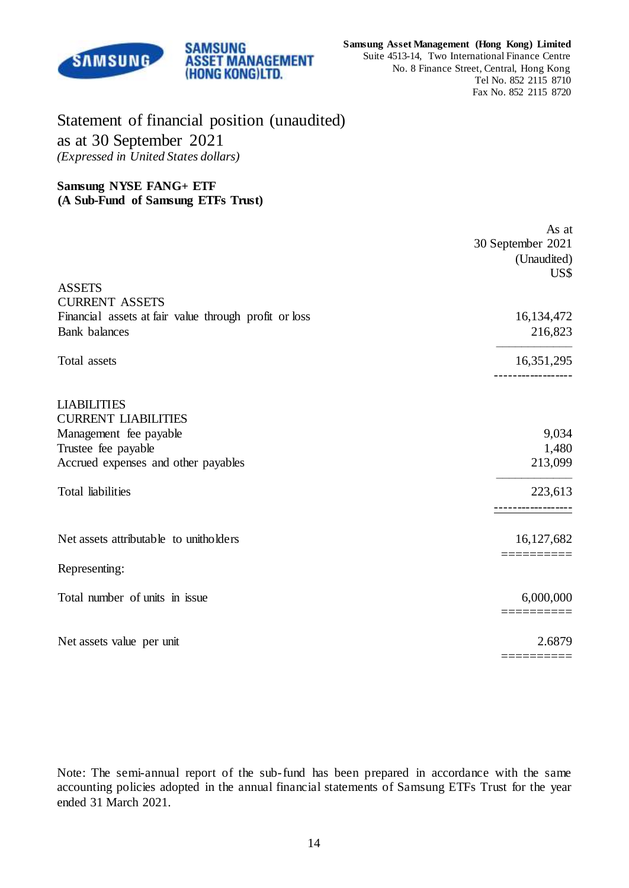

# Statement of financial position (unaudited) as at 30 September 2021 *(Expressed in United States dollars)*

SAMSUNG

**ASSET MANAGEMENT** (HONG KONG)LTD.

### **Samsung NYSE FANG+ ETF (A Sub-Fund of Samsung ETFs Trust)**

|                                                       | As at<br>30 September 2021<br>(Unaudited)<br>US\$ |
|-------------------------------------------------------|---------------------------------------------------|
| <b>ASSETS</b>                                         |                                                   |
| <b>CURRENT ASSETS</b>                                 |                                                   |
| Financial assets at fair value through profit or loss | 16,134,472                                        |
| <b>Bank</b> balances                                  | 216,823                                           |
| Total assets                                          | 16,351,295                                        |
|                                                       |                                                   |
| <b>LIABILITIES</b>                                    |                                                   |
| <b>CURRENT LIABILITIES</b>                            |                                                   |
| Management fee payable                                | 9,034                                             |
| Trustee fee payable                                   | 1,480                                             |
| Accrued expenses and other payables                   | 213,099                                           |
| Total liabilities                                     | 223,613                                           |
|                                                       | ---------                                         |
| Net assets attributable to unitholders                | 16,127,682                                        |
|                                                       |                                                   |
| Representing:                                         |                                                   |
| Total number of units in issue                        | 6,000,000                                         |
|                                                       |                                                   |
| Net assets value per unit                             | 2.6879                                            |
|                                                       |                                                   |

Note: The semi-annual report of the sub-fund has been prepared in accordance with the same accounting policies adopted in the annual financial statements of Samsung ETFs Trust for the year ended 31 March 2021.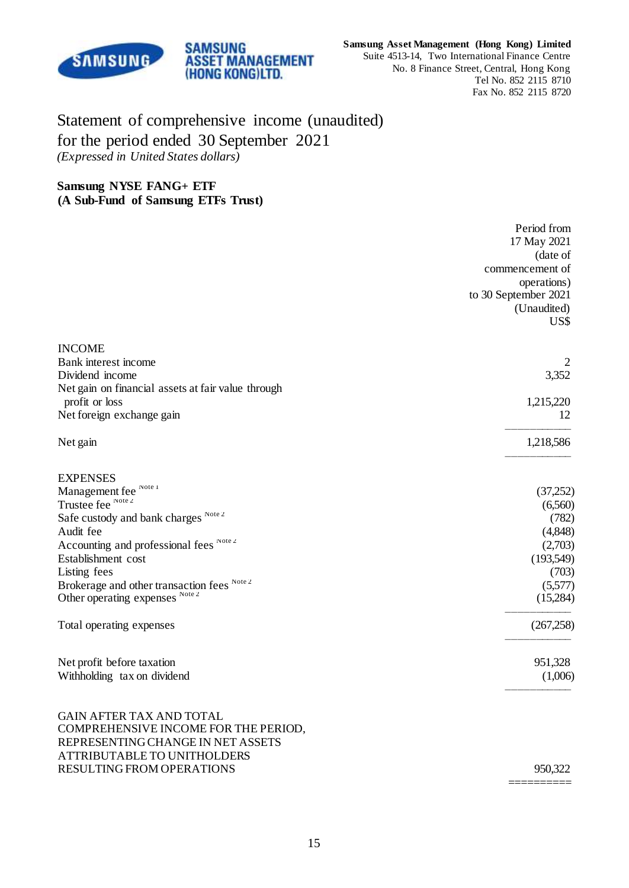

==========

# Statement of comprehensive income (unaudited) for the period ended 30 September 2021 *(Expressed in United States dollars)*

**SAMSUNG** 

**ASSET MANAGEMENT** (HONG KONG)LTD.

### **Samsung NYSE FANG+ ETF (A Sub-Fund of Samsung ETFs Trust)**

|                                                    | Period from<br>17 May 2021<br>(date of<br>commencement of<br>operations)<br>to 30 September 2021<br>(Unaudited) |
|----------------------------------------------------|-----------------------------------------------------------------------------------------------------------------|
|                                                    | US\$                                                                                                            |
| <b>INCOME</b>                                      |                                                                                                                 |
| Bank interest income                               |                                                                                                                 |
| Dividend income                                    | 3,352                                                                                                           |
| Net gain on financial assets at fair value through |                                                                                                                 |
| profit or loss                                     | 1,215,220<br>12                                                                                                 |
| Net foreign exchange gain                          |                                                                                                                 |
| Net gain                                           | 1,218,586                                                                                                       |
| <b>EXPENSES</b>                                    |                                                                                                                 |
| Management fee Note 1                              | (37,252)                                                                                                        |
| Trustee fee Note 2                                 | (6,560)                                                                                                         |
| Safe custody and bank charges Note 2               | (782)                                                                                                           |
| Audit fee                                          | (4,848)                                                                                                         |
| Accounting and professional fees Note 2            | (2,703)                                                                                                         |
| Establishment cost                                 | (193,549)                                                                                                       |
| Listing fees                                       | (703)                                                                                                           |
| Brokerage and other transaction fees Note 2        | (5,577)                                                                                                         |
| Other operating expenses Note 2                    | (15,284)                                                                                                        |
| Total operating expenses                           | (267, 258)                                                                                                      |
| Net profit before taxation                         | 951,328                                                                                                         |
| Withholding tax on dividend                        | (1,006)                                                                                                         |
| <b>GAIN AFTER TAX AND TOTAL</b>                    |                                                                                                                 |
| COMPREHENSIVE INCOME FOR THE PERIOD,               |                                                                                                                 |
| REPRESENTING CHANGE IN NET ASSETS                  |                                                                                                                 |
| ATTRIBUTABLE TO UNITHOLDERS                        |                                                                                                                 |
| RESULTING FROM OPERATIONS                          | 950,322                                                                                                         |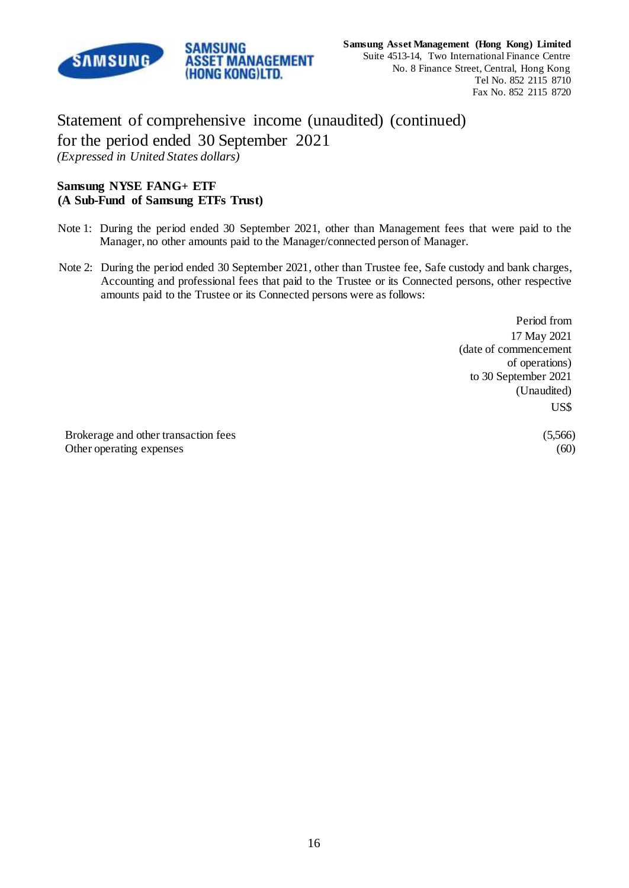

Statement of comprehensive income (unaudited) (continued) for the period ended 30 September 2021 *(Expressed in United States dollars)*

**ASSET MANAGEMENT** (HONG KONG)LTD.

**SAMSUNG** 

## **Samsung NYSE FANG+ ETF (A Sub-Fund of Samsung ETFs Trust)**

- Note 1: During the period ended 30 September 2021, other than Management fees that were paid to the Manager, no other amounts paid to the Manager/connected person of Manager.
- Note 2: During the period ended 30 September 2021, other than Trustee fee, Safe custody and bank charges, Accounting and professional fees that paid to the Trustee or its Connected persons, other respective amounts paid to the Trustee or its Connected persons were as follows:

Period from 17 May 2021 (date of commencement of operations) to 30 September 2021 (Unaudited) US\$

Brokerage and other transaction fees (5,566) Other operating expenses (60)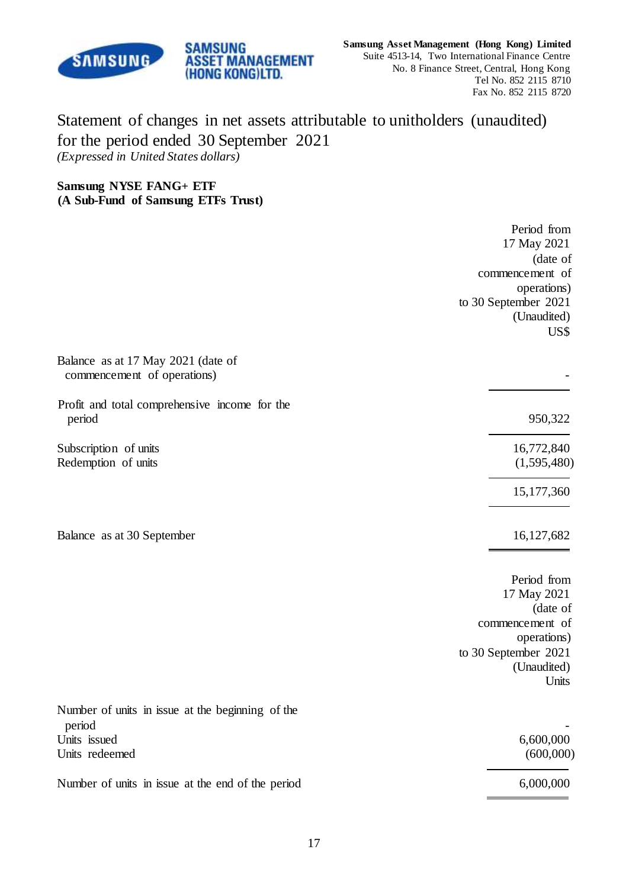

# Statement of changes in net assets attributable to unitholders (unaudited) for the period ended 30 September 2021 *(Expressed in United States dollars)*

**Samsung NYSE FANG+ ETF (A Sub-Fund of Samsung ETFs Trust)**

**SAMSUNG** 

**ASSET MANAGEMENT** (HONG KONG)LTD.

|                                                                   | Period from<br>17 May 2021 |
|-------------------------------------------------------------------|----------------------------|
|                                                                   | (date of                   |
|                                                                   | commencement of            |
|                                                                   | operations)                |
|                                                                   | to 30 September 2021       |
|                                                                   | (Unaudited)                |
|                                                                   | US\$                       |
| Balance as at 17 May 2021 (date of<br>commencement of operations) |                            |
| Profit and total comprehensive income for the                     |                            |
| period                                                            | 950,322                    |
| Subscription of units                                             | 16,772,840                 |
| Redemption of units                                               | (1,595,480)                |
|                                                                   | 15,177,360                 |
| Balance as at 30 September                                        | 16,127,682                 |
|                                                                   |                            |
|                                                                   | Period from<br>17 May 2021 |
|                                                                   | (date of                   |
|                                                                   | commencement of            |
|                                                                   | operations)                |
|                                                                   | to 30 September 2021       |
|                                                                   | (Unaudited)<br>Units       |
| Number of units in issue at the beginning of the                  |                            |
| period                                                            |                            |
| Units issued<br>Units redeemed                                    | 6,600,000<br>(600,000)     |
| Number of units in issue at the end of the period                 | 6,000,000                  |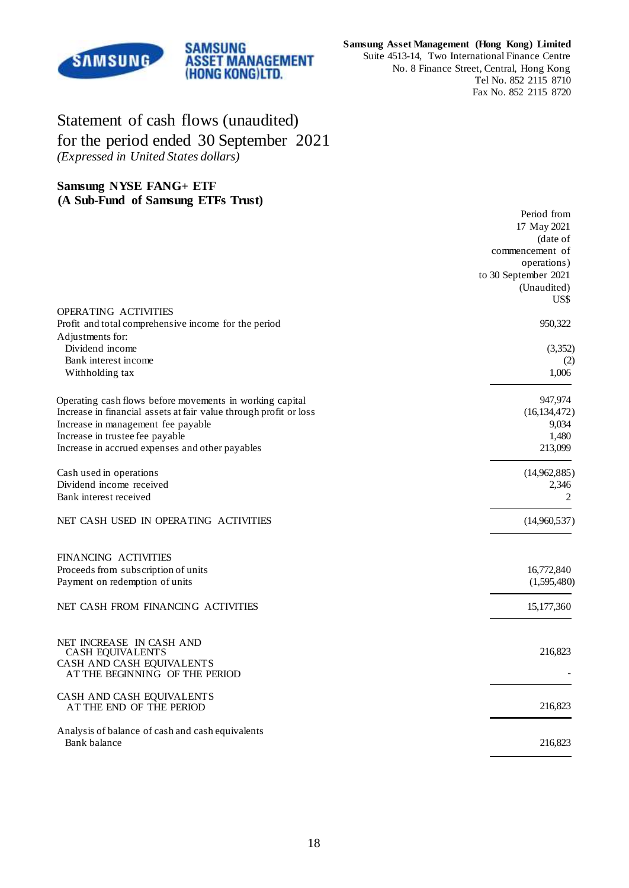

#### **Samsung Asset Management (Hong Kong) Limited**

Suite 4513-14, Two International Finance Centre No. 8 Finance Street, Central, Hong Kong Tel No. 852 2115 8710 Fax No. 852 2115 8720

# Statement of cash flows (unaudited) for the period ended 30 September 2021 *(Expressed in United States dollars)*

**SAMSUNG** 

**ASSET MANAGEMENT** (HONG KONG)LTD.

### **Samsung NYSE FANG+ ETF (A Sub-Fund of Samsung ETFs Trust)**

|                                                                           | Period from<br>17 May 2021<br>(date of<br>commencement of<br>operations)<br>to 30 September 2021<br>(Unaudited)<br>US\$ |
|---------------------------------------------------------------------------|-------------------------------------------------------------------------------------------------------------------------|
| OPERATING ACTIVITIES                                                      |                                                                                                                         |
| Profit and total comprehensive income for the period                      | 950,322                                                                                                                 |
| Adjustments for:                                                          |                                                                                                                         |
| Dividend income                                                           | (3,352)                                                                                                                 |
| Bank interest income                                                      | (2)                                                                                                                     |
| Withholding tax                                                           | 1,006                                                                                                                   |
| Operating cash flows before movements in working capital                  | 947,974                                                                                                                 |
| Increase in financial assets at fair value through profit or loss         | (16, 134, 472)                                                                                                          |
| Increase in management fee payable                                        | 9,034                                                                                                                   |
| Increase in trustee fee payable                                           | 1,480                                                                                                                   |
| Increase in accrued expenses and other payables                           | 213,099                                                                                                                 |
| Cash used in operations                                                   | (14,962,885)                                                                                                            |
| Dividend income received                                                  | 2,346                                                                                                                   |
| Bank interest received                                                    | 2                                                                                                                       |
| NET CASH USED IN OPERATING ACTIVITIES                                     | (14,960,537)                                                                                                            |
| FINANCING ACTIVITIES                                                      |                                                                                                                         |
| Proceeds from subscription of units                                       | 16,772,840                                                                                                              |
| Payment on redemption of units                                            | (1,595,480)                                                                                                             |
|                                                                           |                                                                                                                         |
| NET CASH FROM FINANCING ACTIVITIES                                        | 15,177,360                                                                                                              |
| NET INCREASE IN CASH AND<br>CASH EQUIVALENTS<br>CASH AND CASH EQUIVALENTS | 216,823                                                                                                                 |
| AT THE BEGINNING OF THE PERIOD                                            |                                                                                                                         |
| CASH AND CASH EQUIVALENTS<br>AT THE END OF THE PERIOD                     | 216,823                                                                                                                 |
| Analysis of balance of cash and cash equivalents<br>Bank balance          | 216,823                                                                                                                 |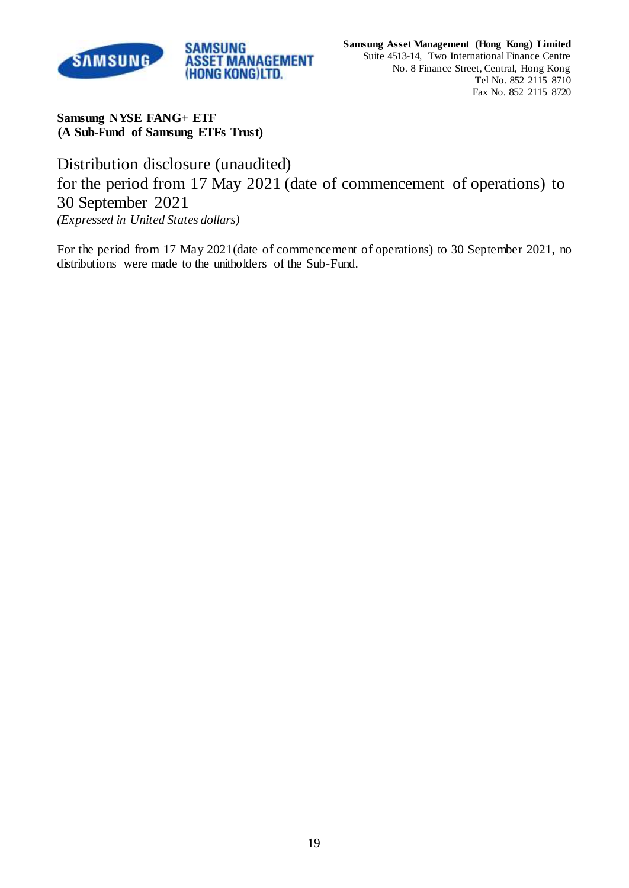

**Samsung NYSE FANG+ ETF (A Sub-Fund of Samsung ETFs Trust)**

Distribution disclosure (unaudited) for the period from 17 May 2021 (date of commencement of operations) to 30 September 2021 *(Expressed in United States dollars)*

For the period from 17 May 2021(date of commencement of operations) to 30 September 2021, no distributions were made to the unitholders of the Sub-Fund.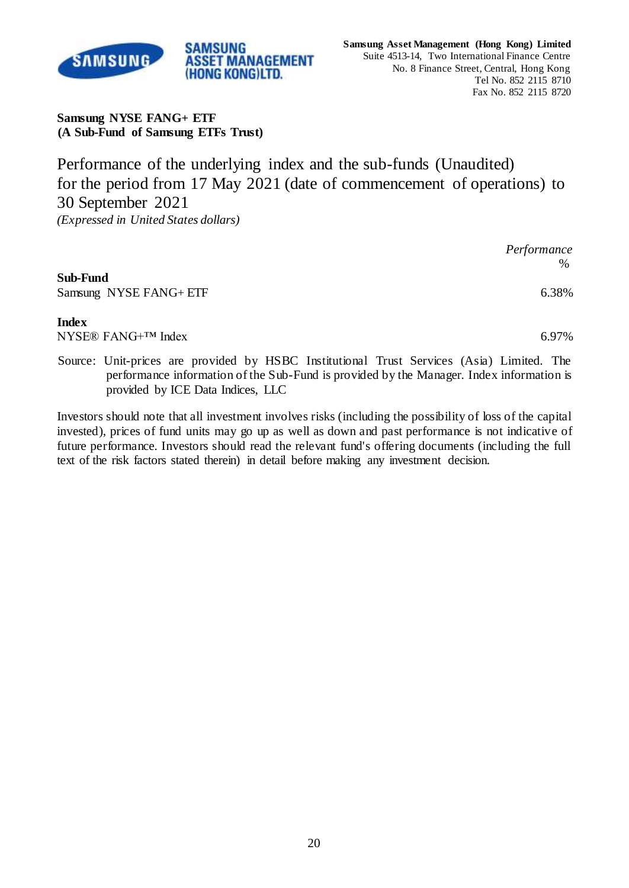

**Samsung NYSE FANG+ ETF (A Sub-Fund of Samsung ETFs Trust)**

**SAMSUNG** 

**ASSET MANAGEMENT** (HONG KONG)LTD.

Performance of the underlying index and the sub-funds (Unaudited) for the period from 17 May 2021 (date of commencement of operations) to 30 September 2021 *(Expressed in United States dollars)*

|                                           | Performance<br>$\%$ |
|-------------------------------------------|---------------------|
| <b>Sub-Fund</b><br>Samsung NYSE FANG+ ETF | 6.38%               |
| Index                                     |                     |

NYSE® FANG<sup>+™</sup> Index 6.97%

Source: Unit-prices are provided by HSBC Institutional Trust Services (Asia) Limited. The performance information of the Sub-Fund is provided by the Manager. Index information is provided by ICE Data Indices, LLC

Investors should note that all investment involves risks (including the possibility of loss of the capital invested), prices of fund units may go up as well as down and past performance is not indicative of future performance. Investors should read the relevant fund's offering documents (including the full text of the risk factors stated therein) in detail before making any investment decision.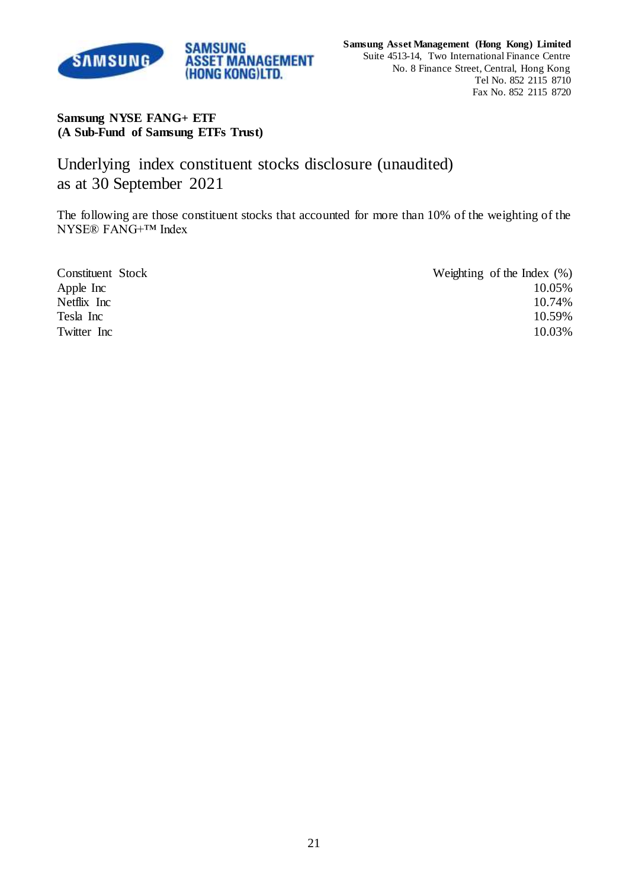

## **Samsung NYSE FANG+ ETF (A Sub-Fund of Samsung ETFs Trust)**

Underlying index constituent stocks disclosure (unaudited) as at 30 September 2021

**ASSET MANAGEMENT** (HONG KONG)LTD.

**SAMSUNG** 

The following are those constituent stocks that accounted for more than 10% of the weighting of the NYSE® FANG+™ Index

| Constituent Stock | Weighting of the Index $(\%)$ |
|-------------------|-------------------------------|
| Apple Inc         | 10.05%                        |
| Netflix Inc       | 10.74%                        |
| Tesla Inc         | 10.59%                        |
| Twitter Inc       | 10.03%                        |